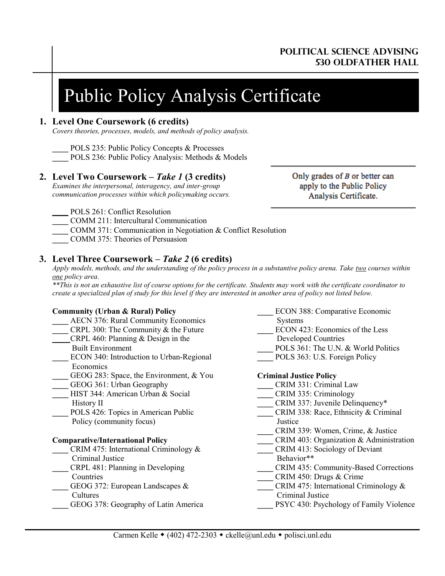# **Political science advising 530 oldfather hall**

# Public Policy Analysis Certificate

## **1. Level One Coursework (6 credits)**

*Covers theories, processes, models, and methods of policy analysis.*

POLS 235: Public Policy Concepts & Processes

POLS 236: Public Policy Analysis: Methods & Models

# **2. Level Two Coursework –** *Take 1* **(3 credits)**

*Examines the interpersonal, interagency, and inter-group communication processes within which policymaking occurs.* Only grades of  $B$  or better can apply to the Public Policy Analysis Certificate.

POLS 261: Conflict Resolution

**\_\_\_\_** COMM 211: Intercultural Communication

- **\_\_\_\_** COMM 371: Communication in Negotiation & Conflict Resolution
- **\_\_\_\_** COMM 375: Theories of Persuasion

# **3. Level Three Coursework –** *Take 2* **(6 credits)**

*Apply models, methods, and the understanding of the policy process in a substantive policy arena. Take two courses within one policy area.*

*\*\*This is not an exhaustive list of course options for the certificate. Students may work with the certificate coordinator to create a specialized plan of study for this level if they are interested in another area of policy not listed below.*

## **Community (Urban & Rural) Policy**

- **\_\_\_\_** AECN 376: Rural Community Economics **\_\_\_\_** CRPL 300: The Community & the Future **\_\_\_\_** CRPL 460: Planning & Design in the Built Environment ECON 340: Introduction to Urban-Regional Economics GEOG 283: Space, the Environment, & You GEOG 361: Urban Geography **\_\_\_\_** HIST 344: American Urban & Social History II POLS 426: Topics in American Public Policy (community focus) **Comparative/International Policy \_\_\_\_** CRIM 475: International Criminology & Criminal Justice **\_\_\_\_** CRPL 481: Planning in Developing Countries
- GEOG 372: European Landscapes & Cultures
- **\_\_\_\_** GEOG 378: Geography of Latin America
- **\_\_\_\_** ECON 388: Comparative Economic Systems ECON 423: Economics of the Less Developed Countries POLS 361: The U.N. & World Politics POLS 363: U.S. Foreign Policy **Criminal Justice Policy \_\_\_\_** CRIM 331: Criminal Law **\_\_\_\_** CRIM 335: Criminology **\_\_\_\_** CRIM 337: Juvenile Delinquency\* **\_\_\_\_** CRIM 338: Race, Ethnicity & Criminal Justice **\_\_\_\_** CRIM 339: Women, Crime, & Justice **\_\_\_\_** CRIM 403: Organization & Administration **\_\_\_\_** CRIM 413: Sociology of Deviant Behavior\*\* **\_\_\_\_** CRIM 435: Community-Based Corrections **\_\_\_\_** CRIM 450: Drugs & Crime **\_\_\_\_** CRIM 475: International Criminology & Criminal Justice **\_\_\_\_** PSYC 430: Psychology of Family Violence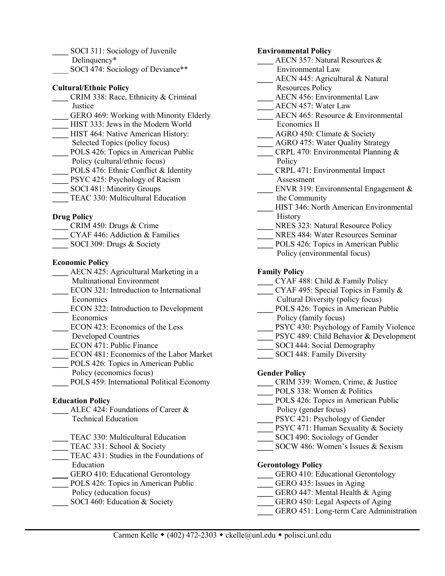- **\_\_\_\_** SOCI 311: Sociology of Juvenile
- Delinquency\*
- SOCI 474: Sociology of Deviance\*\*

## **Cultural/Ethnic Policy**

- **\_\_\_\_** CRIM 338: Race, Ethnicity & Criminal Justice
- **\_\_\_\_** GERO 469: Working with Minority Elderly
- **\_\_\_\_** HIST 333: Jews in the Modern World
- **HIST 464: Native American History:** Selected Topics (policy focus)
- POLS 426: Topics in American Public
- Policy (cultural/ethnic focus)
- POLS 476: Ethnic Conflict & Identity
- **PSYC 425: Psychology of Racism**
- **\_\_\_\_** SOCI 481: Minority Groups
- **\_\_\_\_** TEAC 330: Multicultural Education

## **Drug Policy**

- **\_\_\_\_** CRIM 450: Drugs & Crime
- **\_\_\_\_** CYAF 446: Addiction & Families
- **\_\_\_\_** SOCI 309: Drugs & Society

## **Economic Policy**

- **\_\_\_\_** AECN 425: Agricultural Marketing in a Multinational Environment
- **\_\_\_\_** ECON 321: Introduction to International Economics
- **\_\_\_\_** ECON 322: Introduction to Development **Economics**
- **\_\_\_\_** ECON 423: Economics of the Less
- Developed Countries
- **\_\_\_\_** ECON 471: Public Finance
- **\_\_\_\_** ECON 481: Economics of the Labor Market
- POLS 426: Topics in American Public Policy (economics focus)
- **\_\_\_\_** POLS 459: International Political Economy

## **Education Policy**

- **\_\_\_\_** ALEC 424: Foundations of Career & Technical Education
- TEAC 330: Multicultural Education
- **\_\_\_\_** TEAC 331: School & Society
- **\_\_\_\_** TEAC 431: Studies in the Foundations of Education
- GERO 410: Educational Gerontology
- POLS 426: Topics in American Public
- Policy (education focus)
- SOCI 460: Education & Society

#### **Environmental Policy**

- **\_\_\_\_** AECN 357: Natural Resources &
	- Environmental Law
- **\_\_\_\_** AECN 445: Agricultural & Natural
	- Resources Policy
	- **\_\_\_\_** AECN 456: Environmental Law
- **\_\_\_** AECN 457: Water Law
- **\_\_\_\_** AECN 465: Resource & Environmental Economics II
- **\_\_\_\_** AGRO 450: Climate & Society
	- **\_\_\_\_** AGRO 475: Water Quality Strategy
- **\_\_\_\_** CRPL 470: Environmental Planning & Policy
- **\_\_\_\_** CRPL 471: Environmental Impact Assessment
- ENVR 319: Environmental Engagement & the Community
- **\_\_\_\_** HIST 346: North American Environmental **History**
- **\_\_\_\_** NRES 323: Natural Resource Policy
- **\_\_\_\_** NRES 484: Water Resources Seminar
- **\_\_\_\_** POLS 426: Topics in American Public Policy (environmental focus)

#### **Family Policy**

- **\_\_\_\_** CYAF 488: Child & Family Policy
- **\_\_\_\_** CYAF 495: Special Topics in Family &
	- Cultural Diversity (policy focus)
- **\_\_\_\_** POLS 426: Topics in American Public
- Policy (family focus)
- PSYC 430: Psychology of Family Violence
- **\_\_\_\_** PSYC 489: Child Behavior & Development
- **\_\_\_\_** SOCI 444: Social Demography
- **SOCI 448: Family Diversity**

#### **Gender Policy**

- **\_\_\_\_** CRIM 339: Women, Crime, & Justice
- **\_\_\_\_** POLS 338: Women & Politics
- **\_\_\_\_** POLS 426: Topics in American Public Policy (gender focus)
- PSYC 421: Psychology of Gender
- **PSYC 471: Human Sexuality & Society**
- **\_\_\_\_** SOCI 490: Sociology of Gender
- **\_\_\_\_** SOCW 486: Women's Issues & Sexism

#### **Gerontology Policy**

- **\_\_\_\_** GERO 410: Educational Gerontology
- **\_\_\_\_** GERO 435: Issues in Aging
- **\_\_\_\_** GERO 447: Mental Health & Aging
- **\_\_\_\_** GERO 450: Legal Aspects of Aging
- **\_\_\_\_** GERO 451: Long-term Care Administration